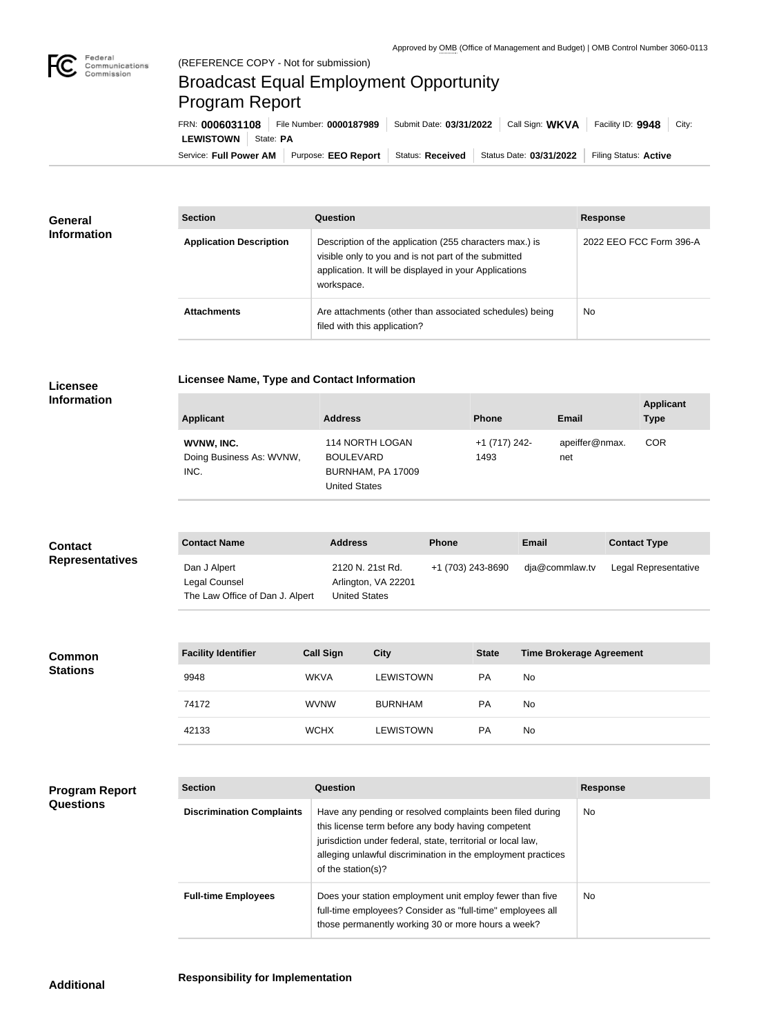

## Broadcast Equal Employment Opportunity Program Report

**Licensee Name, Type and Contact Information**

Service: Full Power AM | Purpose: EEO Report | Status: Received | Status Date: 03/31/2022 | Filing Status: Active **LEWISTOWN** State: PA FRN: **0006031108** File Number: **0000187989** Submit Date: **03/31/2022** Call Sign: **WKVA** Facility ID: **9948** City:

| General<br><b>Information</b> | <b>Section</b>                 | <b>Question</b>                                                                                                                                                                         | <b>Response</b>         |  |
|-------------------------------|--------------------------------|-----------------------------------------------------------------------------------------------------------------------------------------------------------------------------------------|-------------------------|--|
|                               | <b>Application Description</b> | Description of the application (255 characters max.) is<br>visible only to you and is not part of the submitted<br>application. It will be displayed in your Applications<br>workspace. | 2022 EEO FCC Form 396-A |  |
|                               | <b>Attachments</b>             | Are attachments (other than associated schedules) being<br>filed with this application?                                                                                                 | No                      |  |

## **Licensee Information**

| <b>Applicant</b>         | <b>Address</b>    | <b>Phone</b>  | Email          | <b>Applicant</b><br><b>Type</b> |
|--------------------------|-------------------|---------------|----------------|---------------------------------|
| WVNW, INC.               | 114 NORTH LOGAN   | +1 (717) 242- | apeiffer@nmax. | <b>COR</b>                      |
| Doing Business As: WVNW, | <b>BOULEVARD</b>  | 1493          | net            |                                 |
| INC.                     | BURNHAM, PA 17009 |               |                |                                 |
|                          | United States     |               |                |                                 |

## **Contact Name Address Phone Email Contact Type** Dan J Alpert Legal Counsel The Law Office of Dan J. Alpert 2120 N. 21st Rd. Arlington, VA 22201 United States +1 (703) 243-8690 dja@commlaw.tv Legal Representative **Contact Representatives**

| <b>Common</b><br><b>Stations</b> | <b>Facility Identifier</b> | <b>Call Sign</b> | <b>City</b>      | <b>State</b> | <b>Time Brokerage Agreement</b> |
|----------------------------------|----------------------------|------------------|------------------|--------------|---------------------------------|
|                                  | 9948                       | <b>WKVA</b>      | <b>LEWISTOWN</b> | <b>PA</b>    | No                              |
|                                  | 74172                      | <b>WVNW</b>      | <b>BURNHAM</b>   | PA           | No                              |
|                                  | 42133                      | <b>WCHX</b>      | LEWISTOWN        | <b>PA</b>    | No                              |

## **Program Report Questions**

| <b>Section</b>                   | Question                                                                                                                                                                                                                                                              | <b>Response</b> |
|----------------------------------|-----------------------------------------------------------------------------------------------------------------------------------------------------------------------------------------------------------------------------------------------------------------------|-----------------|
| <b>Discrimination Complaints</b> | Have any pending or resolved complaints been filed during<br>this license term before any body having competent<br>jurisdiction under federal, state, territorial or local law,<br>alleging unlawful discrimination in the employment practices<br>of the station(s)? | <b>No</b>       |
| <b>Full-time Employees</b>       | Does your station employment unit employ fewer than five<br>full-time employees? Consider as "full-time" employees all<br>those permanently working 30 or more hours a week?                                                                                          | No.             |